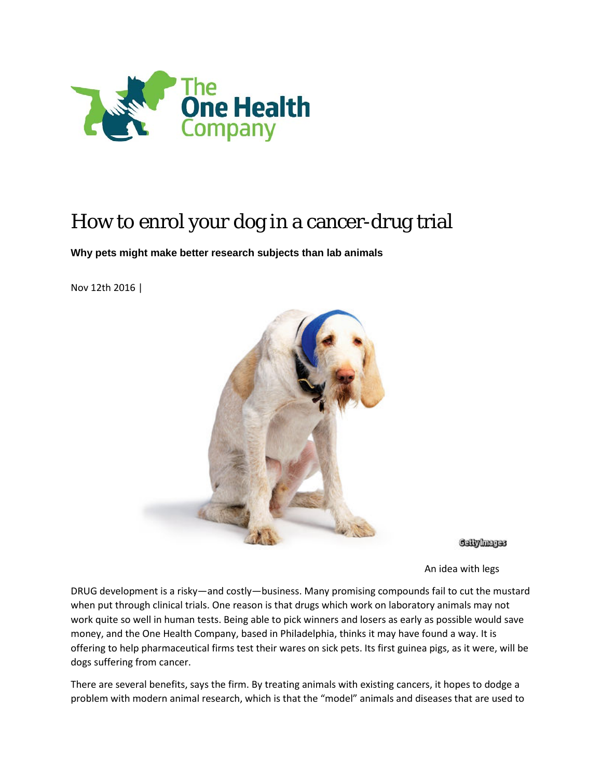

## How to enrol your dog in a cancer-drug trial

**Why pets might make better research subjects than lab animals**

Nov 12th 2016 |



**Gellylmages** 

An idea with legs

DRUG development is a risky—and costly—business. Many promising compounds fail to cut the mustard when put through clinical trials. One reason is that drugs which work on laboratory animals may not work quite so well in human tests. Being able to pick winners and losers as early as possible would save money, and the One Health Company, based in Philadelphia, thinks it may have found a way. It is offering to help pharmaceutical firms test their wares on sick pets. Its first guinea pigs, as it were, will be dogs suffering from cancer.

There are several benefits, says the firm. By treating animals with existing cancers, it hopes to dodge a problem with modern animal research, which is that the "model" animals and diseases that are used to